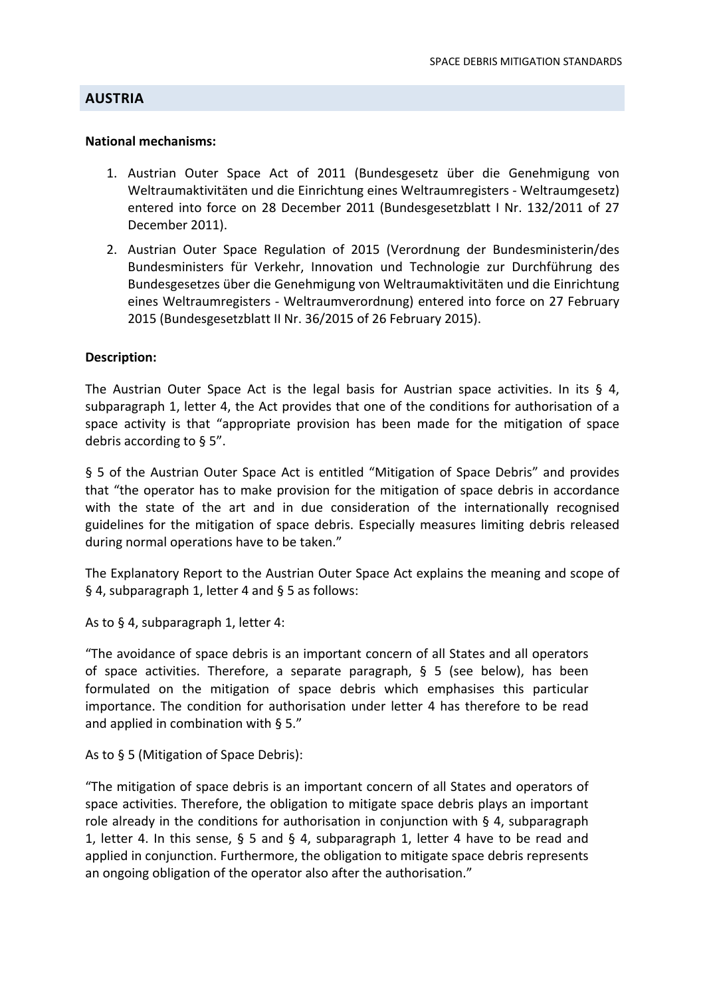## **AUSTRIA**

#### **National mechanisms:**

- 1. Austrian Outer Space Act of 2011 (Bundesgesetz über die Genehmigung von Weltraumaktivitäten und die Einrichtung eines Weltraumregisters ‐ Weltraumgesetz) entered into force on 28 December 2011 (Bundesgesetzblatt I Nr. 132/2011 of 27 December 2011).
- 2. Austrian Outer Space Regulation of 2015 (Verordnung der Bundesministerin/des Bundesministers für Verkehr, Innovation und Technologie zur Durchführung des Bundesgesetzes über die Genehmigung von Weltraumaktivitäten und die Einrichtung eines Weltraumregisters ‐ Weltraumverordnung) entered into force on 27 February 2015 (Bundesgesetzblatt II Nr. 36/2015 of 26 February 2015).

### **Description:**

The Austrian Outer Space Act is the legal basis for Austrian space activities. In its  $\S$  4, subparagraph 1, letter 4, the Act provides that one of the conditions for authorisation of a space activity is that "appropriate provision has been made for the mitigation of space debris according to § 5".

§ 5 of the Austrian Outer Space Act is entitled "Mitigation of Space Debris" and provides that "the operator has to make provision for the mitigation of space debris in accordance with the state of the art and in due consideration of the internationally recognised guidelines for the mitigation of space debris. Especially measures limiting debris released during normal operations have to be taken."

The Explanatory Report to the Austrian Outer Space Act explains the meaning and scope of § 4, subparagraph 1, letter 4 and § 5 as follows:

As to § 4, subparagraph 1, letter 4:

"The avoidance of space debris is an important concern of all States and all operators of space activities. Therefore, a separate paragraph, § 5 (see below), has been formulated on the mitigation of space debris which emphasises this particular importance. The condition for authorisation under letter 4 has therefore to be read and applied in combination with § 5."

As to § 5 (Mitigation of Space Debris):

"The mitigation of space debris is an important concern of all States and operators of space activities. Therefore, the obligation to mitigate space debris plays an important role already in the conditions for authorisation in conjunction with § 4, subparagraph 1, letter 4. In this sense, § 5 and § 4, subparagraph 1, letter 4 have to be read and applied in conjunction. Furthermore, the obligation to mitigate space debris represents an ongoing obligation of the operator also after the authorisation."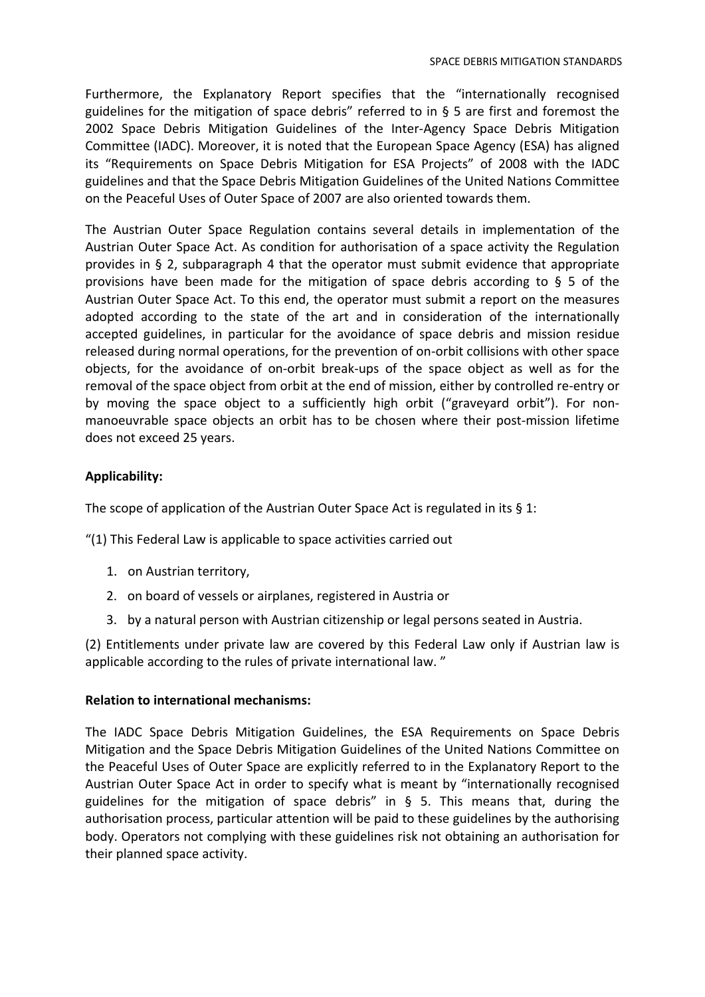Furthermore, the Explanatory Report specifies that the "internationally recognised guidelines for the mitigation of space debris" referred to in § 5 are first and foremost the 2002 Space Debris Mitigation Guidelines of the Inter‐Agency Space Debris Mitigation Committee (IADC). Moreover, it is noted that the European Space Agency (ESA) has aligned its "Requirements on Space Debris Mitigation for ESA Projects" of 2008 with the IADC guidelines and that the Space Debris Mitigation Guidelines of the United Nations Committee on the Peaceful Uses of Outer Space of 2007 are also oriented towards them.

The Austrian Outer Space Regulation contains several details in implementation of the Austrian Outer Space Act. As condition for authorisation of a space activity the Regulation provides in § 2, subparagraph 4 that the operator must submit evidence that appropriate provisions have been made for the mitigation of space debris according to § 5 of the Austrian Outer Space Act. To this end, the operator must submit a report on the measures adopted according to the state of the art and in consideration of the internationally accepted guidelines, in particular for the avoidance of space debris and mission residue released during normal operations, for the prevention of on‐orbit collisions with other space objects, for the avoidance of on‐orbit break‐ups of the space object as well as for the removal of the space object from orbit at the end of mission, either by controlled re‐entry or by moving the space object to a sufficiently high orbit ("graveyard orbit"). For non‐ manoeuvrable space objects an orbit has to be chosen where their post-mission lifetime does not exceed 25 years.

# **Applicability:**

The scope of application of the Austrian Outer Space Act is regulated in its § 1:

"(1) This Federal Law is applicable to space activities carried out

- 1. on Austrian territory,
- 2. on board of vessels or airplanes, registered in Austria or
- 3. by a natural person with Austrian citizenship or legal persons seated in Austria.

(2) Entitlements under private law are covered by this Federal Law only if Austrian law is applicable according to the rules of private international law. "

## **Relation to international mechanisms:**

The IADC Space Debris Mitigation Guidelines, the ESA Requirements on Space Debris Mitigation and the Space Debris Mitigation Guidelines of the United Nations Committee on the Peaceful Uses of Outer Space are explicitly referred to in the Explanatory Report to the Austrian Outer Space Act in order to specify what is meant by "internationally recognised guidelines for the mitigation of space debris" in § 5. This means that, during the authorisation process, particular attention will be paid to these guidelines by the authorising body. Operators not complying with these guidelines risk not obtaining an authorisation for their planned space activity.